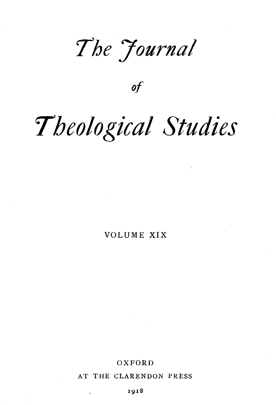*7he 7ournal* 

*of* 

# *Theological Studies*

VOLUME XIX

OXFORD

AT THE CLARENDON PRESS

1918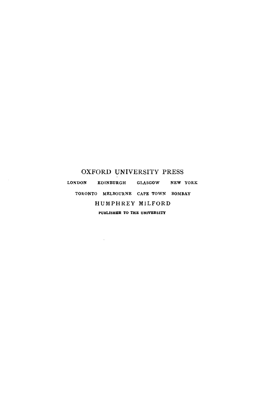#### OXFORD UNIVERSITY PRESS

LONDON EDINBURGH GLASGOW NEW YORK TORONTO MELBOURNE CAPE TOWN BOMBAY HUMPHREY MILFORD PUBLISHER TO THE UNIVERSITY

 $\overline{\phantom{a}}$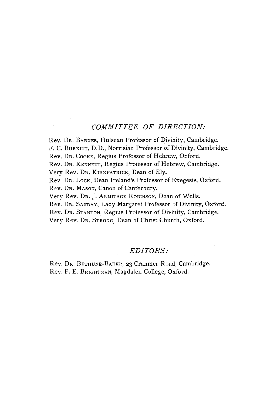#### *COMMITTEE OF DIRECTION:*

Rev. DR. BARNES, Hulsean Professor of Divinity, Cambridge. F. C. BuRKITT, D.D., Norrisian Professor of Divinity, Cambridge.

Rev. DR. CooKE, Regius Professor of Hebrew, Oxford.

Rev. DR. KENNETT, Regius Professor of Hebrew, Cambridge.

Very Rev. Dr. KIRKPATRICK, Dean of Ely.

Rev. Dr. Lock, Dean Ireland's Professor of Exegesis, Oxford.

Rev. Dr. Mason, Canon of Canterbury.

Very Rev. DR. J. ARMITAGE RoBINSON, Dean of Wells.

Rev. DR. SANDAY, Lady Margaret Professor of Divinity, Oxford.

Rev. DR. STANTON, Regius Professor of Divinity, Cambridge.

Very Rev. DR. STRONG, Dean of Christ Church, Oxford.

#### *EDITORS:*

Rev. DR. BETHUNE-BAKER, 23 Cranmer Road, Cambridge. ReY. F. E. BRIGHTMAN, Magdalen College, Oxford.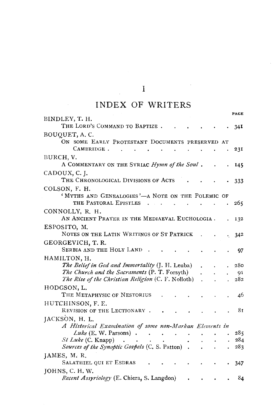$\mathcal{L}^{\text{max}}_{\text{max}}$ 

## INDEX OF WRITERS

| BINDLEY, T. H.                                            |                                             |                      |     |
|-----------------------------------------------------------|---------------------------------------------|----------------------|-----|
| THE LORD'S COMMAND TO BAPTIZE.                            |                                             |                      | 34I |
| BOUQUET, A.C.                                             |                                             |                      |     |
| ON SOME EARLY PROTESTANT DOCUMENTS PRESERVED AT           |                                             |                      |     |
| CAMBRIDGE.                                                |                                             |                      | 231 |
| BURCH, V.                                                 |                                             |                      |     |
| A COMMENTARY ON THE SYRIAC Hymn of the Soul.              |                                             |                      | 145 |
| CADOUX, C. J.                                             |                                             |                      |     |
| THE CHRONOLOGICAL DIVISIONS OF ACTS                       |                                             |                      | 333 |
| COLSON, F. H.                                             |                                             |                      |     |
| 'MYTHS AND GENEALOGIES'-A NOTE ON THE POLEMIC OF          |                                             |                      |     |
| THE PASTORAL EPISTLES<br>n.                               |                                             |                      | 265 |
| CONNOLLY, R. H.                                           |                                             |                      |     |
| AN ANCIENT PRAYER IN THE MEDIAEVAL EUCHOLOGIA.            |                                             |                      | 132 |
| ESPOSITO, M.                                              |                                             |                      |     |
| NOTES ON THE LATIN WRITINGS OF ST PATRICK                 |                                             |                      | 342 |
| GEORGEVICH, T.R.                                          |                                             |                      |     |
| <b>SERBIA AND THE HOLY LAND</b>                           |                                             |                      | 97  |
| HAMILTON, H.                                              |                                             |                      |     |
| The Belief in God and Immortality (J. H. Leuba)           |                                             |                      | 280 |
| The Church and the Sacraments (P. T. Forsyth)             |                                             |                      | 91  |
| <i>The Rise of the Christian Religion</i> (C. F. Nolloth) | $\ddot{\phantom{a}}$                        |                      | 282 |
| HODGSON, L.                                               |                                             |                      |     |
| THE METAPHYSIC OF NESTORIUS                               |                                             |                      | 46  |
| HUTCHINSON, F.E.                                          |                                             |                      |     |
| REVISION OF THE LECTIONARY.                               |                                             |                      | 81  |
| JACKSON, H. L.                                            |                                             |                      |     |
| A Historical Examination of some non-Markan Elements in   |                                             |                      |     |
| $Luke$ (E. W. Parsons).<br>$\ddot{\phantom{a}}$           |                                             |                      | 285 |
| $St$ Luke (C. Knapp)                                      |                                             |                      | 284 |
| Sources of the Synoptic Gospels (C. S. Patton).           | $\mathbf{r}$                                | $\ddot{\phantom{a}}$ | 283 |
| JAMES, M.R.                                               |                                             |                      |     |
| SALATHIEL QUI ET ESDRAS                                   |                                             |                      | 347 |
| JOHNS, C. H. W.                                           |                                             |                      |     |
| Recent Assyriology (E. Chiera, S. Langdon)                | $\bullet$ . The second second second second |                      | 84  |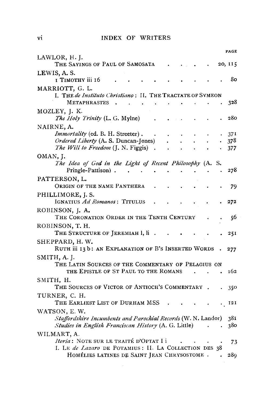#### **INDEX OF WRITERS**

|                                                                                                                                       | PAGE              |
|---------------------------------------------------------------------------------------------------------------------------------------|-------------------|
| LAWLOR, H. J.<br>THE SAYINGS OF PAUL OF SAMOSATA                                                                                      | 20, 115           |
| LEWIS, A.S.<br>т Тімотну ііі 16                                                                                                       | 8ο                |
| MARRIOTT, G. L.<br>I. THE de Instituto Christiano: II. THE TRACTATE OF SYMEON<br><b>METAPHRASTES</b>                                  | 328               |
| MOZLEY, J. K.<br>The Holy Trinity (L. G. Mylne)                                                                                       | 280               |
| NAIRNE, A.<br>Immortality (ed. B. H. Streeter).<br>Ordered Liberty (A. S. Duncan-Jones)<br>The Will to Freedom (J. N. Figgis)         | 37I<br>378<br>377 |
| OMAN, J.<br>The Idea of God in the Light of Recent Philosophy (A. S.<br>Pringle-Pattison).                                            | 278               |
| PATTERSON, L.<br>ORIGIN OF THE NAME PANTHERA                                                                                          | 79                |
| PHILLIMORE, J. S.<br>IGNATIUS Ad Romanos: TITULUS                                                                                     | 272               |
| ROBINSON, J. A.<br>THE CORONATION ORDER IN THE TENTH CENTURY                                                                          | 56                |
| ROBINSON, T. H.<br>THE STRUCTURE OF JEREMIAH 1, li.                                                                                   | 251               |
| SHEPPARD, H.W.<br>RUTH iii 13 b: AN EXPLANATION OF B'S INSERTED WORDS                                                                 | 277               |
| SMITH, A. J.<br>THE LATIN SOURCES OF THE COMMENTARY OF PELAGIUS ON<br>THE EPISTLE OF ST PAUL TO THE ROMANS                            | 162               |
| SMITH, H.<br>THE SOURCES OF VICTOR OF ANTIOCH'S COMMENTARY                                                                            | 350               |
| TURNER, C. H.<br>THE EARLIEST LIST OF DURHAM MSS                                                                                      | 121               |
| WATSON, E.W.<br>Staffordshire Incumbents and Parochial Records (W. N. Landor)<br>Studies in English Franciscan History (A. G. Little) | 381<br>380        |
| WILMART, A.<br><i>Itoria</i> : NOTE SUR LE TRAITÉ D'OPTAT I i<br>I. LE de Lazaro DE POTAMIUS: II. LA COLLECTION DES 38                | 73                |
| HOMÉLIES LATINES DE SAINT JEAN CHRYSOSTOME.                                                                                           | 289               |

 $\mathcal{L}^{\text{max}}_{\text{max}}$ 

vi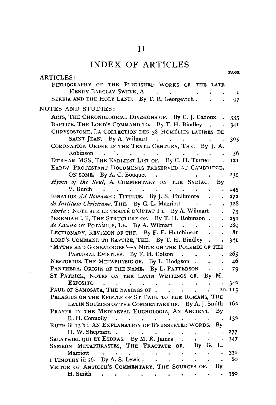## $\bar{1}$

## INDEX OF ARTICLES

|                                                                                                                                                                                             | PAGE         |
|---------------------------------------------------------------------------------------------------------------------------------------------------------------------------------------------|--------------|
| ARTICLES:<br>BIBLIOGRAPHY OF THE PUBLISHED WORKS OF THE LATE                                                                                                                                |              |
| HENRY BARCLAY SWETE, A.                                                                                                                                                                     | $\mathbf{I}$ |
| SERBIA AND THE HOLY LAND. By T. R. Georgevich.                                                                                                                                              | 97           |
| NOTES AND STUDIES:                                                                                                                                                                          |              |
| ACTS, THE CHRONOLOGICAL DIVISIONS OF. By C. J. Cadoux                                                                                                                                       | 333          |
| BAPTIZE, THE LORD'S COMMAND TO. By T. H. Bindley.<br>$\ddot{\phantom{0}}$                                                                                                                   | 341          |
| CHRYSOSTOME, LA COLLECTION DES 38 HOMÉLIES LATINES DE                                                                                                                                       |              |
| SAINT JEAN. By A. Wilmart<br>$\mathcal{L}(\mathbf{x})$ . The set of $\mathcal{L}(\mathbf{x})$ is a set of $\mathcal{L}(\mathbf{x})$<br>CORONATION ORDER IN THE TENTH CENTURY, THE. By J. A. | 305          |
| Robinson<br><b>Carl Carl</b>                                                                                                                                                                |              |
| $\ddot{\phantom{0}}$<br>DURHAM MSS, THE EARLIEST LIST OF. By C. H. Turner                                                                                                                   | 56           |
| L.                                                                                                                                                                                          | 121          |
| EARLY PROTESTANT DOCUMENTS PRESERVED AT CAMBRIDGE,                                                                                                                                          |              |
| ON SOME. By A. C. Bouquet<br>$\sim$ $\sim$<br>and a state of the<br>$\ddot{\phantom{a}}$                                                                                                    | 231          |
| Hymn of the Soul, A COMMENTARY ON THE SYRIAC.<br>By                                                                                                                                         |              |
| $V.$ Burch<br>$\sim$ $\sim$ $\sim$ $\sim$ $\sim$<br>$\bullet$ .                                                                                                                             | 145          |
| IGNATIUS Ad Romanos: TITULUS. By J. S. Phillimore                                                                                                                                           | 272          |
| de Instituto Christiano, THE. By G. L. Marriott .<br>$\blacksquare$                                                                                                                         | 328          |
| Itoria: NOTE SUR LE TRAITÉ D'OPTAT I i. By A. Wilmart                                                                                                                                       | 73           |
| JEREMIAH I, li, THE STRUCTURE OF. By T. H. Robinson.                                                                                                                                        | 251          |
| de Lazaro OF POTAMIUS, LE. By A. Wilmart.                                                                                                                                                   | 289          |
| LECTIONARY, REVISION OF THE. By F. E. Hutchinson.                                                                                                                                           | 81           |
| LORD'S COMMAND TO BAPTIZE, THE. By T. H. Bindley .<br>$\bullet$                                                                                                                             | 341          |
| 'MYTHS AND GENEALOGIES'-A NOTE ON THE POLEMIC OF THE                                                                                                                                        |              |
| PASTORAL EPISTLES By F. H. Colson                                                                                                                                                           | 265          |
| NESTORIUS, THE METAPHYSIC OF. By L. Hodgson                                                                                                                                                 | 46           |
| PANTHERA, ORIGIN OF THE NAME. By L. PATTERSON<br>$\bullet$                                                                                                                                  | 79           |
| ST PATRICK, NOTES ON THE LATIN WRITINGS OF. By M.                                                                                                                                           |              |
| <b>ESPOSITO</b><br>$\mathbb{Z}^2$<br>$\Delta \sim 10$<br>$\ddot{\phantom{a}}$<br>$\ddot{\phantom{a}}$<br>$\sim$ $\sim$<br>$\ddot{\phantom{a}}$                                              | 342          |
| PAUL OF SAMOSATA, THE SAVINGS OF<br>$\bullet$                                                                                                                                               | 20, II5      |
| PELAGIUS ON THE EPISTLE OF ST PAUL TO THE ROMANS, THE                                                                                                                                       |              |
| LATIN SOURCES OF THE COMMENTARY OF. By A. J. Smith                                                                                                                                          | 162          |
| PRAYER IN THE MEDIAEVAL EUCHOLOGIA, AN ANCIENT.<br>By                                                                                                                                       |              |
| R. H. Connolly .<br>and a strategic and<br>$\sim$<br>$\ddot{\phantom{0}}$                                                                                                                   | 132          |
| RUTH iii 13 b: AN EXPLANATION OF B'S INSERTED WORDS.<br>By                                                                                                                                  |              |
| H. W. Sheppard.<br>$\ddot{\phantom{0}}$<br>$\sim$ $\sim$                                                                                                                                    | 277          |
| SALATHIEL QUI ET ESDRAS. By M. R. James<br>$\sim$<br>$\sim$ $\star$                                                                                                                         | 347          |
| By G. L.<br>SYMEON METAPHRASTES, THE TRACTATE OF.                                                                                                                                           |              |
| Marriott<br>$\sim$                                                                                                                                                                          | 331          |
| I TIMOTHY iii 16. By A.S. Lewis.<br>$\sim 10^{-11}$<br>$\bullet$<br>$\blacksquare$                                                                                                          | 80           |
| VICTOR OF ANTIOCH'S COMMENTARY, THE SOURCES OF. By                                                                                                                                          |              |
| H. Smith                                                                                                                                                                                    | 350          |

 $\bar{\beta}$